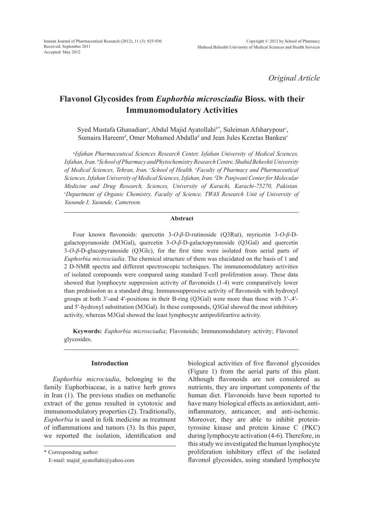*Original Article*

# **Flavonol Glycosides from** *Euphorbia microsciadia* **Bioss. with their Immunomodulatory Activities**

Syed Mustafa Ghanadian<sup>a</sup>, Abdul Majid Ayatollahi<sup>b\*</sup>, Suleiman Afsharypour<sup>c</sup>, Sumaira Hareem*<sup>d</sup>* , Omer Mohamed Abdalla*<sup>d</sup>* and Jean Jules Kezetas Bankeu*<sup>e</sup>*

*a Isfahan Pharmaceutical Sciences Research Center, Isfahan University of Medical Sciences, Isfahan, Iran. <sup>b</sup> School of Pharmacy andPhytochemistry Research Centre, Shahid Beheshti University of Medical Sciences, Tehran, Iran. <sup>c</sup> School of Health. <sup>e</sup> Faculty of Pharmacy and Pharmaceutical Sciences, Isfahan University of Medical Sciences, Isfahan, Iran. <sup>d</sup> Dr. Panjwani Center for Molecular Medicine and Drug Research, Sciences, University of Karachi, Karachi-75270, Pakistan. e Department of Organic Chemistry, Faculty of Science, TWAS Research Unit of University of Yaounde I; Yaounde, Cameroon.*

## **Abstract**

Four known flavonoids: quercetin 3-*O*-*β*-D-rutinoside (Q3Rut), myricetin 3-*O*-*β*-Dgalactopyranoside (M3Gal), quercetin 3-*O*-*β*-D-galactopyranoside (Q3Gal) and quercetin 3-*O*-*β*-D-glucopyranoside (Q3Glc), for the first time were isolated from aerial parts of *Euphorbia microsciadia*. The chemical structure of them was elucidated on the basis of 1 and 2 D-NMR spectra and different spectroscopic techniques. The immunomodulatory activities of isolated compounds were compared using standard T-cell proliferation assay. These data showed that lymphocyte suppression activity of flavonoids (1-4) were comparatively lower than prednisolon as a standard drug. Immunosuppressive activity of flavonoids with hydroxyl groups at both 3′-and 4′-positions in their B-ring (Q3Gal) were more than those with 3′-,4′ and 5′-hydroxyl substitution (M3Gal). In these compounds, Q3Gal showed the most inhibitory activity, whereas M3Gal showed the least lymphocyte antiprolifeartive activity.

**Keywords:** *Euphorbia microsciadia*; Flavonoids; Immunomodulatory activity; Flavonol glycosides.

#### **Introduction**

*Euphorbia microciadia*, belonging to the family Euphorbiaceae, is a native herb grows in Iran (1). The previous studies on methanolic extract of the genus resulted in cytotoxic and immunomodulatory properties (2). Traditionally, *Euphorbia* is used in folk medicine as treatment of inflammations and tumors (3). In this paper, we reported the isolation, identification and

\* Corresponding author:

E-mail: majid\_ayatollahi@yahoo.com

biological activities of five flavonol glycosides (Figure 1) from the aerial parts of this plant. Although flavonoids are not considered as nutrients, they are important components of the human diet. Flavonoids have been reported to have many biological effects as antioxidant, antiinflammatory, anticancer, and anti-ischemic. Moreover, they are able to inhibit proteintyrosine kinase and protein kinase C (PKC) during lymphocyte activation (4-6). Therefore, in this study we investigated the human lymphocyte proliferation inhibitory effect of the isolated flavonol glycosides, using standard lymphocyte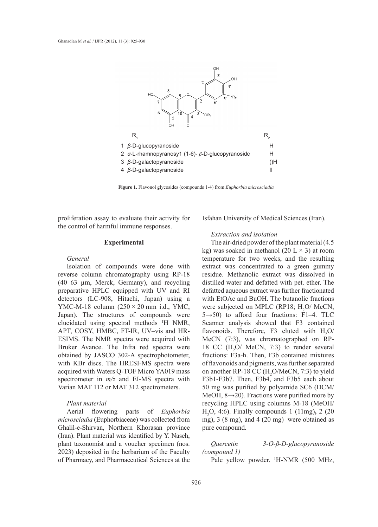

**Figure 1.** Flavonol glycosides (compounds 1-4) from *Euphorbia microsciadia*

proliferation assay to evaluate their activity for the control of harmful immune responses.

#### **Experimental**

*General*

Isolation of compounds were done with reverse column chromatography using RP-18 (40–63 µm, Merck, Germany), and recycling preparative HPLC equipped with UV and RI detectors (LC-908, Hitachi, Japan) using a YMC-M-18 column  $(250 \times 20 \text{ mm } \text{i.d., YMC,})$ Japan). The structures of compounds were elucidated using spectral methods 1 H NMR, APT, COSY, HMBC, FT-IR, UV–vis and HR-ESIMS. The NMR spectra were acquired with Bruker Avance. The Infra red spectra were obtained by JASCO 302-A spectrophotometer, with KBr discs. The HRESI-MS spectra were acquired with Waters Q-TOF Micro YA019 mass spectrometer in *m/z* and EI-MS spectra with Varian MAT 112 or MAT 312 spectrometers.

#### *Plant material*

Aerial flowering parts of *Euphorbia microsciadia* (Euphorbiaceae) was collected from Ghalil-e-Shirvan, Northern Khorasan province (Iran). Plant material was identified by Y. Naseh, plant taxonomist and a voucher specimen (nos. 2023) deposited in the herbarium of the Faculty of Pharmacy, and Pharmaceutical Sciences at the Isfahan University of Medical Sciences (Iran).

## *Extraction and isolation*

The air-dried powder of the plant material (4.5 kg) was soaked in methanol (20 L  $\times$  3) at room temperature for two weeks, and the resulting extract was concentrated to a green gummy residue. Methanolic extract was dissolved in distilled water and defatted with pet. ether. The defatted aqueous extract was further fractionated with EtOAc and BuOH. The butanolic fractions were subjected on MPLC (RP18;  $H<sub>2</sub>O/MeCN$ ,  $5\rightarrow 50$ ) to afford four fractions:  $\overline{F}1-4$ . TLC Scanner analysis showed that F3 contained flavonoids. Therefore, F3 eluted with  $H_2O$ MeCN (7:3), was chromatographed on RP-18 CC  $(H_2O/MeCN, 7:3)$  to render several fractions: F3a-h. Then, F3b contained mixtures of flavonoids and pigments, was further separated on another RP-18 CC  $(H<sub>2</sub>O/MeCN, 7:3)$  to yield F3b1-F3b7. Then, F3b4, and F3b5 each about 50 mg was purified by polyamide SC6 (DCM/ MeOH, 8→20)*.* Fractions were purified more by recycling HPLC using columns M-18 (MeOH/ H2 O, 4:6). Finally compounds 1 (11mg)**,** 2 (20 mg), 3 (8 mg), and 4 (20 mg) were obtained as pure compound.

*Quercetin 3-O-β-D-glucopyranoside (compound 1)*

Pale yellow powder. <sup>1</sup>H-NMR (500 MHz,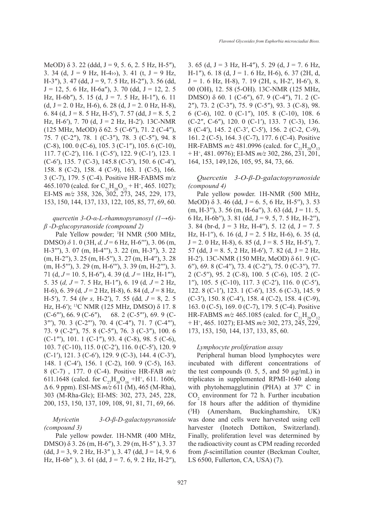MeOD)  $\delta$  3. 22 (ddd, J = 9, 5. 6, 2. 5 Hz, H-5"), 3. 34 (d,  $J = 9$  Hz, H-4>>), 3. 41 (t,  $J = 9$  Hz, H-3"), 3. 47 (dd,  $J = 9, 7.5$  Hz, H-2"), 3. 56 (dd,  $J = 12, 5, 6$  Hz, H-6a"), 3. 70 (dd,  $J = 12, 2, 5$ Hz, H-6b"), 5. 15 (d, J = 7. 5 Hz, H-1"), 6. 11  $(d, J = 2.0 \text{ Hz}, H=6)$ , 6. 28  $(d, J = 2.0 \text{ Hz}, H=8)$ , 6. 84 (d, J = 8. 5 Hz, H-5'), 7. 57 (dd, J = 8. 5, 2 Hz, H-6'), 7. 70 (d,  $J = 2$  Hz, H-2'). 13C-NMR (125 MHz, MeOD) δ 62. 5 (C-6″), 71. 2 (C-4″), 75. 7 (C-2″), 78. 1 (C-3″), 78. 3 (C-5″), 94. 8  $(C-8)$ , 100. 0  $(C-6)$ , 105. 3  $(C-1'')$ , 105. 6  $(C-10)$ , 117. 7 (C-2′), 116. 1 (C-5′), 122. 9 (C-1′), 123. 1 (C-6′), 135. 7 (C-3), 145.8 (C-3′), 150. 6 (C-4′), 158. 8 (C-2), 158. 4 (C-9), 163. 1 (C-5), 166. 3 (C-7), 179. 5 (C-4). Positive HR-FABMS m/z 465.1070 (calcd. for  $C_{21}H_{20}O_{12} + H^+$ , 465. 1027); EI-MS *m/z* 358, 326, 302, 273, 245, 229, 173, 153, 150, 144, 137, 133, 122, 105, 85, 77, 69, 60.

# *quercetin 3-O-α-L-rhamnopyranosyl (1→6) β -D-glucopyranoside (compound 2)*

Pale Yellow powder; <sup>1</sup>H NMR (500 MHz, DMSO) *δ* 1. 0 (3H, *d, J* = 6 Hz, H-6′′′), 3. 06 (m, H-3′′′), 3. 07 (m, H-4′′′), 3. 22 (m, H-3″), 3. 22 (m, H-2′′), 3. 25 (m, H-5′′), 3. 27 (m, H-4′′), 3. 28 (m, H-5′′′), 3. 29 (m, H-6′′′), 3. 39 (m, H-2′′′), 3. 71 (d, *J* = 10. 5, H-6″), 4. 39 (d*, J* = 1Hz, H-1″′), 5. 35 (*d, J* = 7. 5 Hz, H-1″), 6. 19 (d*, J* = 2 Hz, H-6), 6. 39 (d*, J* = 2 Hz, H-8), 6. 84 (d, *J* = 8 Hz, H-5′), 7. 54 (*br s,* H-2′), 7. 55 (dd*, J* = 8, 2. 5 Hz, H-6′); 13C NMR (125 MHz, DMSO) δ 17. 8 (C-6″′), 66. 9 (C-6″), 68. 2 (C-5″′), 69. 9 (C-3″′), 70. 3 (C-2″′), 70. 4 (C-4″), 71. 7 (C-4″′), 73. 9 (C-2″), 75. 8 (C-5″), 76. 3 (C-3″), 100. 6 (C-1″′), 101. 1 (C-1″), 93. 4 (C-8), 98. 5 (C-6), 103. 7 (C-10), 115. 0 (C-2′), 116. 0 (C-5′), 120. 9 (C-1′), 121. 3 (C-6′), 129. 9 (C-3), 144. 4 (C-3′), 148. 1 (C-4′), 156. 1 (C-2), 160. 9 (C-5), 163. 8 (C-7) , 177. 0 (C-4). Positive HR-FAB *m/z* 611.1648 (calcd. for  $C_{27}H_{30}O_{16} + H^+$ , 611. 1606, Δ 6. 9 ppm). ESI-MS *m/z* 611 (M), 465 (M-Rha), 303 (M-Rha-Glc); EI-MS: 302, 273, 245, 228, 200, 153, 150, 137, 109, 108, 91, 81, 71, 69, 66.

*Myricetin 3-O-β-D-galactopyranoside (compound 3)*

 Pale yellow powder. 1H-NMR (400 MHz, DMSO) δ 3. 26 (m, H-6″), 3. 29 (m, H-5″ ), 3. 37  $(dd, J = 3, 9, 2 Hz, H-3''$ , 3. 47  $(dd, J = 14, 9, 6$ Hz, H-6b"), 3. 61 (dd,  $J = 7.6$ , 9. 2 Hz, H-2"), 3. 65 (d,  $J = 3$  Hz, H-4"), 5. 29 (d,  $J = 7$ . 6 Hz, H-1"), 6. 18 (d, J = 1. 6 Hz, H-6), 6. 37 (2H, d,  $J = 1.6$  Hz, H-8), 7. 19 (2H, s, H-2', H-6'), 8. 00 (OH), 12. 58 (5-OH). 13C-NMR (125 MHz, DMSO) δ 60. 1 (C-6″), 67. 9 (C-4″), 71. 2 (C-2″), 73. 2 (C-3″), 75. 9 (C-5″), 93. 3 (C-8), 98. 6 (C-6), 102. 0 (C-1″), 105. 8 (C-10), 108. 6 (C-2″, C-6″), 120. 0 (C-1′), 133. 7 (C-3), 136. 8 (C-4′), 145. 2 (C-3′, C-5′), 156. 2 (C-2, C-9), 161. 2 (C-5), 164. 3 (C-7), 177. 6 (C-4). Positive HR-FABMS  $m/z$  481.0996 (calcd. for  $C_{21}H_{20}O_{13}$ + H+ , 481. 0976); EI-MS *m/z* 302, 286, 231, 201, 164, 153, 149,126, 105, 95, 84, 73, 66.

## *Quercetin 3-O-β-D-galactopyranoside (compound 4)*

Pale yellow powder. 1H-NMR (500 MHz, MeOD)  $\delta$  3. 46 (dd, J = 6. 5, 6 Hz, H-5"), 3. 53  $(m, H-3'')$ , 3. 56  $(m, H-6a'')$ , 3. 63 (dd, J = 11. 5, 6 Hz, H-6b''), 3. 81 (dd,  $J = 9.5, 7.5$  Hz, H-2"), 3. 84 (br-d,  $J = 3$  Hz, H-4''), 5. 12 (d,  $J = 7.5$ Hz, H-1''), 6. 16 (d,  $J = 2.5$  Hz, H-6), 6. 35 (d,  $J = 2.0$  Hz, H-8), 6. 85 (d,  $J = 8.5$  Hz, H-5'), 7. 57 (dd,  $J = 8.5$ , 2 Hz, H-6'), 7. 82 (d,  $J = 2$  Hz, H-2′). 13C-NMR (150 MHz, MeOD) δ 61. 9 (C-6′′), 69. 8 (C-4′′), 73. 4 (C-2′′), 75. 0 (C-3′′), 77. 2 (C-5′′), 95. 2 (C-8), 100. 5 (C-6), 105. 2 (C-1′′), 105. 5 (C-10), 117. 3 (C-2′), 116. 0 (C-5′), 122. 8 (C-1′), 123. 1 (C-6′), 135. 6 (C-3), 145. 9 (C-3′), 150. 8 (C-4′), 158. 4 (C-2), 158. 4 (C-9), 163. 0 (C-5), 169. 0 (C-7), 179. 5 (C-4). Positive HR-FABMS  $m/z$  465.1085 (calcd. for  $C_{21}H_{20}O_{12}$ + H+ , 465. 1027); EI-MS *m/z* 302, 273, 245, 229, 173, 153, 150, 144, 137, 133, 85, 60.

### *Lymphocyte proliferation assay*

Peripheral human blood lymphocytes were incubated with different concentrations of the test compounds  $(0.5, 5, \text{ and } 50 \text{ µg/mL})$  in triplicates in supplemented RPMI-1640 along with phytohemagglutinin (PHA) at 37º C in  $CO<sub>2</sub>$  environment for 72 h. Further incubation for 18 hours after the addition of thymidine  $(^3H)$ (Amersham, Buckinghamshire, UK) was done and cells were harvested using cell harvester (Inotech Dottikon, Switzerland). Finally, proliferation level was determined by the radioactivity count as CPM reading recorded from *β*-scintillation counter (Beckman Coulter, LS 6500, Fullerton, CA, USA) (7).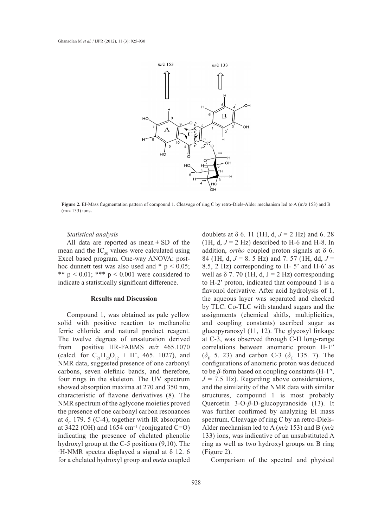

**Figure 2.** EI-Mass fragmentation pattern of compound 1. Cleavage of ring C by retro-Diels-Alder mechanism led to A (m/z 153) and B (m/z 133) ions**.**

## *Statistical analysis*

All data are reported as mean  $\pm$  SD of the mean and the  $IC_{50}$  values were calculated using Excel based program. One-way ANOVA: posthoc dunnett test was also used and  $*$  p < 0.05; \*\*  $p < 0.01$ ; \*\*\*  $p < 0.001$  were considered to indicate a statistically significant difference.

#### **Results and Discussion**

Compound 1, was obtained as pale yellow solid with positive reaction to methanolic ferric chloride and natural product reagent. The twelve degrees of unsaturation derived from positive HR-FABMS *m/z* 465.1070 (calcd. for  $C_{21}H_{20}O_{12} + H^+$ , 465. 1027), and NMR data, suggested presence of one carbonyl carbons, seven olefinic bands, and therefore, four rings in the skeleton. The UV spectrum showed absorption maxima at 270 and 350 nm, characteristic of flavone derivatives (8). The NMR spectrum of the aglycone moieties proved the presence of one carbonyl carbon resonances at  $\delta_c$  179. 5 (C-4), together with IR absorption at  $3422$  (OH) and  $1654$  cm<sup>-1</sup> (conjugated C=O) indicating the presence of chelated phenolic hydroxyl group at the C-5 positions (9,10). The <sup>1</sup>H-NMR spectra displayed a signal at  $\delta$  12. 6 for a chelated hydroxyl group and *meta* coupled

doublets at δ 6. 11 (1H, d,  $J = 2$  Hz) and 6. 28 (1H, d,  $J = 2$  Hz) described to H-6 and H-8. In addition, *ortho* coupled proton signals at δ 6. 84 (1H, d, *J* = 8. 5 Hz) and 7. 57 (1H, dd, *J* = 8.5, 2 Hz) corresponding to H- 5' and H-6′ as well as  $\delta$  7. 70 (1H, d, J = 2 Hz) corresponding to H-2′ proton, indicated that compound 1 is a flavonol derivative. After acid hydrolysis of 1, the aqueous layer was separated and checked by TLC. Co-TLC with standard sugars and the assignments (chemical shifts, multiplicities, and coupling constants) ascribed sugar as glucopyranosyl (11, 12). The glycosyl linkage at C-3, was observed through C-H long-range correlations between anomeric proton H-1′′  $(\delta_{\rm H}$  5. 23) and carbon C-3 ( $\delta_{\rm C}$  135. 7). The configurations of anomeric proton was deduced to be  $\beta$ -form based on coupling constants (H-1'',  $J = 7.5$  Hz). Regarding above considerations, and the similarity of the NMR data with similar structures, compound 1 is most probably Quercetin 3-O-*β*-D-glucopyranoside (13). It was further confirmed by analyzing EI mass spectrum. Cleavage of ring C by an retro-Diels-Alder mechanism led to A (*m/z* 153) and B (*m/z* 133) ions, was indicative of an unsubstituted A ring as well as two hydroxyl groups on B ring (Figure 2).

Comparison of the spectral and physical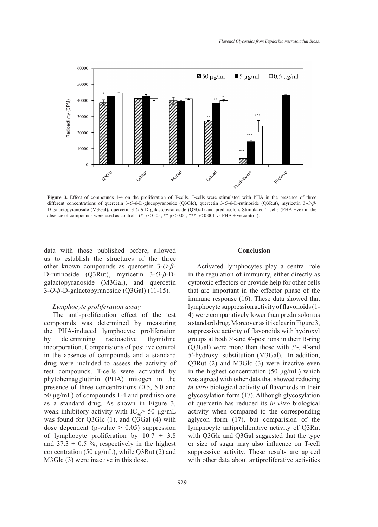

Figure 3. Effect of compounds 1-4 on the proliferation of T-cells. T-cells were stimulated with PHA in the presence of three different concentrations of quercetin 3-*O*-*β*-D-glucopyranoside (Q3Glc), quercetin 3-*O*-*β*-D-rutinoside (Q3Rut), myricetin 3-*O*-*β*-D-galactopyranoside (M3Gal), quercetin 3-*O*-*β*-D-galactopyranoside (Q3Gal) and prednisolon. Stimulated T-cells (PHA +ve) in the absence of compounds were used as controls. (\*  $p < 0.05$ ; \*\*  $p < 0.01$ ; \*\*\*  $p < 0.001$  vs PHA + ve control).

data with those published before, allowed us to establish the structures of the three other known compounds as quercetin 3-*O*-*β*-D-rutinoside (Q3Rut), myricetin 3-*O*-*β*-Dgalactopyranoside (M3Gal), and quercetin 3-*O*-*β*-D-galactopyranoside (Q3Gal) (11-15).

### *Lymphocyte proliferation assay*

The anti-proliferation effect of the test compounds was determined by measuring the PHA-induced lymphocyte proliferation by determining radioactive thymidine incorporation. Comparisions of positive control in the absence of compounds and a standard drug were included to assess the activity of test compounds. T-cells were activated by phytohemagglutinin (PHA) mitogen in the presence of three concentrations (0.5, 5.0 and 50 μg/mL) of compounds 1-4 and prednisolone as a standard drug. As shown in Figure 3, weak inhibitory activity with  $IC_{50}$  50  $\mu$ g/mL was found for Q3Glc (1), and Q3Gal (4) with dose dependent (p-value  $> 0.05$ ) suppression of lymphocyte proliferation by  $10.7 \pm 3.8$ and  $37.3 \pm 0.5$  %, respectively in the highest concentration (50 μg/mL), while Q3Rut (2) and M3Glc (3) were inactive in this dose.

#### **Conclusion**

Activated lymphocytes play a central role in the regulation of immunity, either directly as cytotoxic effectors or provide help for other cells that are important in the effector phase of the immune response (16). These data showed that lymphocyte suppression activity of flavonoids (1- 4) were comparatively lower than prednisolon as a standard drug. Moreover as it is clear in Figure 3, suppressive activity of flavonoids with hydroxyl groups at both 3′-and 4′-positions in their B-ring (Q3Gal) were more than those with 3′-, 4′-and 5′-hydroxyl substitution (M3Gal). In addition, Q3Rut (2) and M3Glc (3) were inactive even in the highest concentration (50 μg/mL) which was agreed with other data that showed reducing *in vitro* biological activity of flavonoids in their glycosylation form (17). Although glycosylation of quercetin has reduced its *in-vitro* biological activity when compared to the corresponding aglycon form (17), but comparision of the lymphocyte antiproliferative activity of Q3Rut with Q3Glc and Q3Gal suggested that the type or size of sugar may also influence on T-cell suppressive activity. These results are agreed with other data about antiproliferative activities